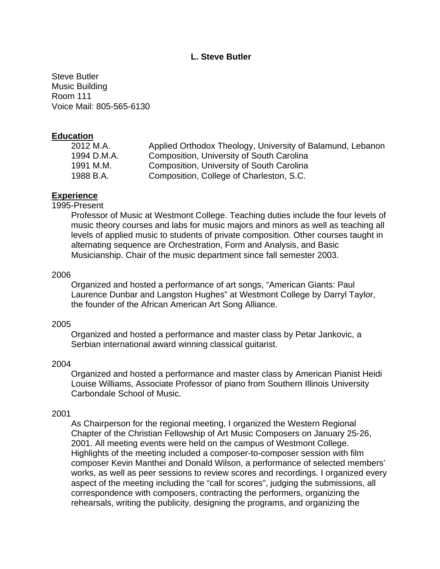# **L. Steve Butler**

Steve Butler Music Building Room 111 Voice Mail: 805-565-6130

### **Education**

| 2012 M.A.   | Applied Orthodox Theology, University of Balamund, Lebanon |
|-------------|------------------------------------------------------------|
| 1994 D.M.A. | Composition, University of South Carolina                  |
| 1991 M.M.   | Composition, University of South Carolina                  |
| 1988 B.A.   | Composition, College of Charleston, S.C.                   |
|             |                                                            |

## **Experience**

#### 1995-Present

Professor of Music at Westmont College. Teaching duties include the four levels of music theory courses and labs for music majors and minors as well as teaching all levels of applied music to students of private composition. Other courses taught in alternating sequence are Orchestration, Form and Analysis, and Basic Musicianship. Chair of the music department since fall semester 2003.

#### 2006

Organized and hosted a performance of art songs, "American Giants: Paul Laurence Dunbar and Langston Hughes" at Westmont College by Darryl Taylor, the founder of the African American Art Song Alliance.

#### 2005

Organized and hosted a performance and master class by Petar Jankovic, a Serbian international award winning classical guitarist.

#### 2004

Organized and hosted a performance and master class by American Pianist Heidi Louise Williams, Associate Professor of piano from Southern Illinois University Carbondale School of Music.

#### 2001

As Chairperson for the regional meeting, I organized the Western Regional Chapter of the Christian Fellowship of Art Music Composers on January 25-26, 2001. All meeting events were held on the campus of Westmont College. Highlights of the meeting included a composer-to-composer session with film composer Kevin Manthei and Donald Wilson, a performance of selected members' works, as well as peer sessions to review scores and recordings. I organized every aspect of the meeting including the "call for scores", judging the submissions, all correspondence with composers, contracting the performers, organizing the rehearsals, writing the publicity, designing the programs, and organizing the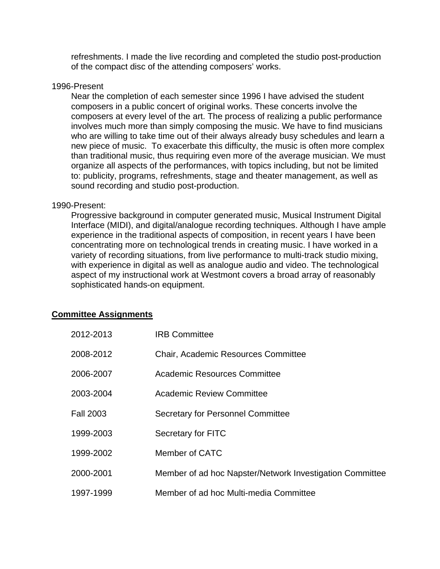refreshments. I made the live recording and completed the studio post-production of the compact disc of the attending composers' works.

### 1996-Present

Near the completion of each semester since 1996 I have advised the student composers in a public concert of original works. These concerts involve the composers at every level of the art. The process of realizing a public performance involves much more than simply composing the music. We have to find musicians who are willing to take time out of their always already busy schedules and learn a new piece of music. To exacerbate this difficulty, the music is often more complex than traditional music, thus requiring even more of the average musician. We must organize all aspects of the performances, with topics including, but not be limited to: publicity, programs, refreshments, stage and theater management, as well as sound recording and studio post-production.

#### 1990-Present:

Progressive background in computer generated music, Musical Instrument Digital Interface (MIDI), and digital/analogue recording techniques. Although I have ample experience in the traditional aspects of composition, in recent years I have been concentrating more on technological trends in creating music. I have worked in a variety of recording situations, from live performance to multi-track studio mixing, with experience in digital as well as analogue audio and video. The technological aspect of my instructional work at Westmont covers a broad array of reasonably sophisticated hands-on equipment.

## **Committee Assignments**

| 2012-2013        | <b>IRB Committee</b>                                     |
|------------------|----------------------------------------------------------|
| 2008-2012        | <b>Chair, Academic Resources Committee</b>               |
| 2006-2007        | Academic Resources Committee                             |
| 2003-2004        | <b>Academic Review Committee</b>                         |
| <b>Fall 2003</b> | Secretary for Personnel Committee                        |
| 1999-2003        | Secretary for FITC                                       |
| 1999-2002        | Member of CATC                                           |
| 2000-2001        | Member of ad hoc Napster/Network Investigation Committee |
| 1997-1999        | Member of ad hoc Multi-media Committee                   |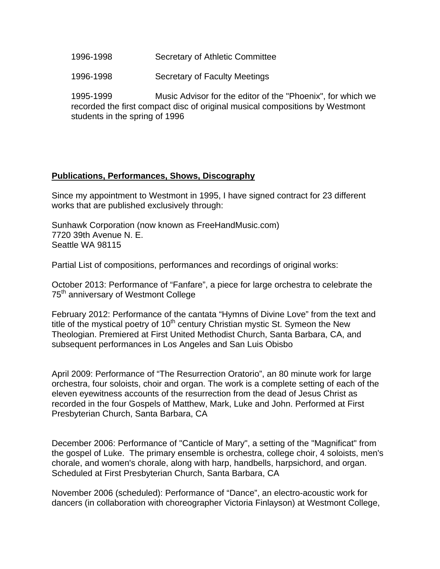- 1996-1998 Secretary of Athletic Committee
- 1996-1998 Secretary of Faculty Meetings

1995-1999 Music Advisor for the editor of the "Phoenix", for which we recorded the first compact disc of original musical compositions by Westmont students in the spring of 1996

# **Publications, Performances, Shows, Discography**

Since my appointment to Westmont in 1995, I have signed contract for 23 different works that are published exclusively through:

Sunhawk Corporation (now known as FreeHandMusic.com) 7720 39th Avenue N. E. Seattle WA 98115

Partial List of compositions, performances and recordings of original works:

October 2013: Performance of "Fanfare", a piece for large orchestra to celebrate the 75<sup>th</sup> anniversary of Westmont College

February 2012: Performance of the cantata "Hymns of Divine Love" from the text and title of the mystical poetry of  $10<sup>th</sup>$  century Christian mystic St. Symeon the New Theologian. Premiered at First United Methodist Church, Santa Barbara, CA, and subsequent performances in Los Angeles and San Luis Obisbo

April 2009: Performance of "The Resurrection Oratorio", an 80 minute work for large orchestra, four soloists, choir and organ. The work is a complete setting of each of the eleven eyewitness accounts of the resurrection from the dead of Jesus Christ as recorded in the four Gospels of Matthew, Mark, Luke and John. Performed at First Presbyterian Church, Santa Barbara, CA

December 2006: Performance of "Canticle of Mary", a setting of the "Magnificat" from the gospel of Luke. The primary ensemble is orchestra, college choir, 4 soloists, men's chorale, and women's chorale, along with harp, handbells, harpsichord, and organ. Scheduled at First Presbyterian Church, Santa Barbara, CA

November 2006 (scheduled): Performance of "Dance", an electro-acoustic work for dancers (in collaboration with choreographer Victoria Finlayson) at Westmont College,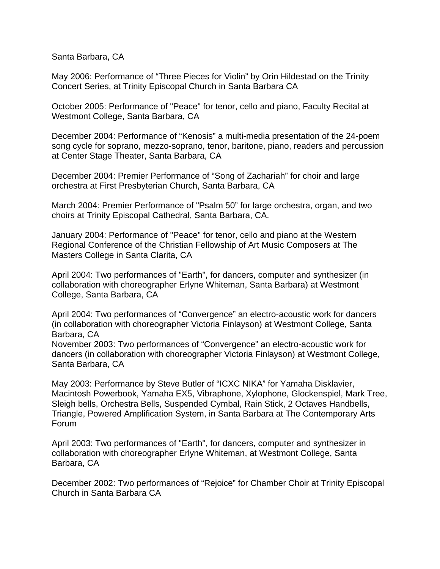Santa Barbara, CA

May 2006: Performance of "Three Pieces for Violin" by Orin Hildestad on the Trinity Concert Series, at Trinity Episcopal Church in Santa Barbara CA

October 2005: Performance of "Peace" for tenor, cello and piano, Faculty Recital at Westmont College, Santa Barbara, CA

December 2004: Performance of "Kenosis" a multi-media presentation of the 24-poem song cycle for soprano, mezzo-soprano, tenor, baritone, piano, readers and percussion at Center Stage Theater, Santa Barbara, CA

December 2004: Premier Performance of "Song of Zachariah" for choir and large orchestra at First Presbyterian Church, Santa Barbara, CA

March 2004: Premier Performance of "Psalm 50" for large orchestra, organ, and two choirs at Trinity Episcopal Cathedral, Santa Barbara, CA.

January 2004: Performance of "Peace" for tenor, cello and piano at the Western Regional Conference of the Christian Fellowship of Art Music Composers at The Masters College in Santa Clarita, CA

April 2004: Two performances of "Earth", for dancers, computer and synthesizer (in collaboration with choreographer Erlyne Whiteman, Santa Barbara) at Westmont College, Santa Barbara, CA

April 2004: Two performances of "Convergence" an electro-acoustic work for dancers (in collaboration with choreographer Victoria Finlayson) at Westmont College, Santa Barbara, CA

November 2003: Two performances of "Convergence" an electro-acoustic work for dancers (in collaboration with choreographer Victoria Finlayson) at Westmont College, Santa Barbara, CA

May 2003: Performance by Steve Butler of "ICXC NIKA" for Yamaha Disklavier, Macintosh Powerbook, Yamaha EX5, Vibraphone, Xylophone, Glockenspiel, Mark Tree, Sleigh bells, Orchestra Bells, Suspended Cymbal, Rain Stick, 2 Octaves Handbells, Triangle, Powered Amplification System, in Santa Barbara at The Contemporary Arts Forum

April 2003: Two performances of "Earth", for dancers, computer and synthesizer in collaboration with choreographer Erlyne Whiteman, at Westmont College, Santa Barbara, CA

December 2002: Two performances of "Rejoice" for Chamber Choir at Trinity Episcopal Church in Santa Barbara CA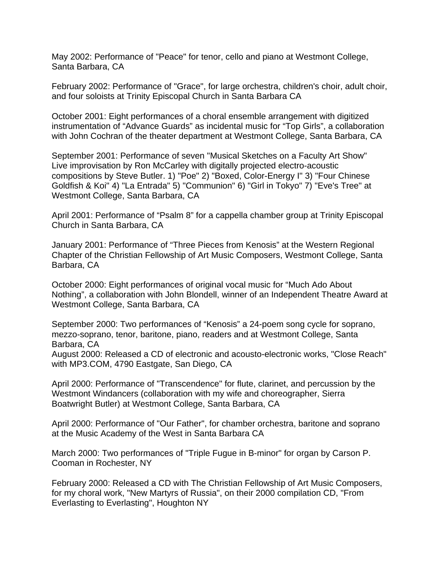May 2002: Performance of "Peace" for tenor, cello and piano at Westmont College, Santa Barbara, CA

February 2002: Performance of "Grace", for large orchestra, children's choir, adult choir, and four soloists at Trinity Episcopal Church in Santa Barbara CA

October 2001: Eight performances of a choral ensemble arrangement with digitized instrumentation of "Advance Guards" as incidental music for "Top Girls", a collaboration with John Cochran of the theater department at Westmont College, Santa Barbara, CA

September 2001: Performance of seven "Musical Sketches on a Faculty Art Show" Live improvisation by Ron McCarley with digitally projected electro-acoustic compositions by Steve Butler. 1) "Poe" 2) "Boxed, Color-Energy I" 3) "Four Chinese Goldfish & Koi" 4) "La Entrada" 5) "Communion" 6) "Girl in Tokyo" 7) "Eve's Tree" at Westmont College, Santa Barbara, CA

April 2001: Performance of "Psalm 8" for a cappella chamber group at Trinity Episcopal Church in Santa Barbara, CA

January 2001: Performance of "Three Pieces from Kenosis" at the Western Regional Chapter of the Christian Fellowship of Art Music Composers, Westmont College, Santa Barbara, CA

October 2000: Eight performances of original vocal music for "Much Ado About Nothing", a collaboration with John Blondell, winner of an Independent Theatre Award at Westmont College, Santa Barbara, CA

September 2000: Two performances of "Kenosis" a 24-poem song cycle for soprano, mezzo-soprano, tenor, baritone, piano, readers and at Westmont College, Santa Barbara, CA

August 2000: Released a CD of electronic and acousto-electronic works, "Close Reach" with MP3.COM, 4790 Eastgate, San Diego, CA

April 2000: Performance of "Transcendence" for flute, clarinet, and percussion by the Westmont Windancers (collaboration with my wife and choreographer, Sierra Boatwright Butler) at Westmont College, Santa Barbara, CA

April 2000: Performance of "Our Father", for chamber orchestra, baritone and soprano at the Music Academy of the West in Santa Barbara CA

March 2000: Two performances of "Triple Fugue in B-minor" for organ by Carson P. Cooman in Rochester, NY

February 2000: Released a CD with The Christian Fellowship of Art Music Composers, for my choral work, "New Martyrs of Russia", on their 2000 compilation CD, "From Everlasting to Everlasting", Houghton NY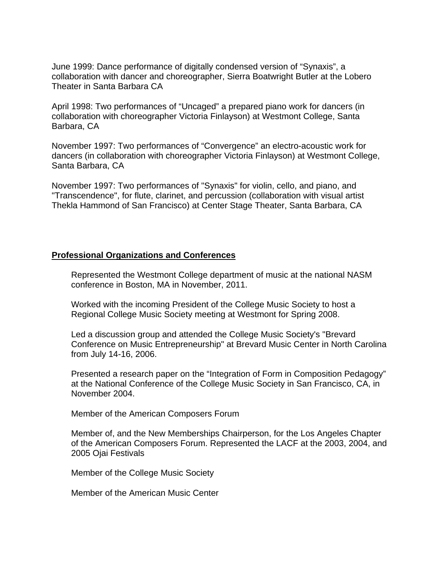June 1999: Dance performance of digitally condensed version of "Synaxis", a collaboration with dancer and choreographer, Sierra Boatwright Butler at the Lobero Theater in Santa Barbara CA

April 1998: Two performances of "Uncaged" a prepared piano work for dancers (in collaboration with choreographer Victoria Finlayson) at Westmont College, Santa Barbara, CA

November 1997: Two performances of "Convergence" an electro-acoustic work for dancers (in collaboration with choreographer Victoria Finlayson) at Westmont College, Santa Barbara, CA

November 1997: Two performances of "Synaxis" for violin, cello, and piano, and "Transcendence", for flute, clarinet, and percussion (collaboration with visual artist Thekla Hammond of San Francisco) at Center Stage Theater, Santa Barbara, CA

## **Professional Organizations and Conferences**

Represented the Westmont College department of music at the national NASM conference in Boston, MA in November, 2011.

Worked with the incoming President of the College Music Society to host a Regional College Music Society meeting at Westmont for Spring 2008.

Led a discussion group and attended the College Music Society's "Brevard Conference on Music Entrepreneurship" at Brevard Music Center in North Carolina from July 14-16, 2006.

Presented a research paper on the "Integration of Form in Composition Pedagogy" at the National Conference of the College Music Society in San Francisco, CA, in November 2004.

Member of the American Composers Forum

Member of, and the New Memberships Chairperson, for the Los Angeles Chapter of the American Composers Forum. Represented the LACF at the 2003, 2004, and 2005 Ojai Festivals

Member of the College Music Society

Member of the American Music Center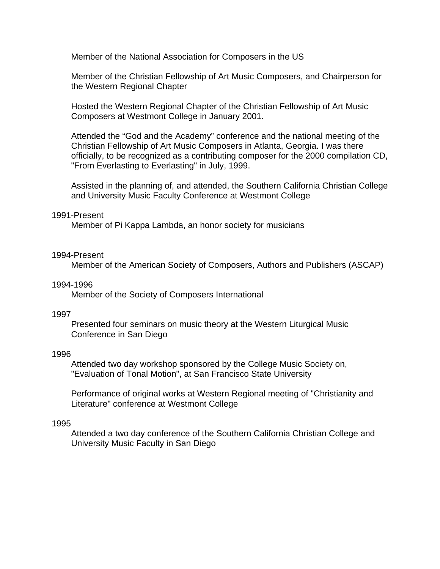Member of the National Association for Composers in the US

Member of the Christian Fellowship of Art Music Composers, and Chairperson for the Western Regional Chapter

Hosted the Western Regional Chapter of the Christian Fellowship of Art Music Composers at Westmont College in January 2001.

Attended the "God and the Academy" conference and the national meeting of the Christian Fellowship of Art Music Composers in Atlanta, Georgia. I was there officially, to be recognized as a contributing composer for the 2000 compilation CD, "From Everlasting to Everlasting" in July, 1999.

Assisted in the planning of, and attended, the Southern California Christian College and University Music Faculty Conference at Westmont College

# 1991-Present

Member of Pi Kappa Lambda, an honor society for musicians

#### 1994-Present

Member of the American Society of Composers, Authors and Publishers (ASCAP)

#### 1994-1996

Member of the Society of Composers International

#### 1997

Presented four seminars on music theory at the Western Liturgical Music Conference in San Diego

#### 1996

Attended two day workshop sponsored by the College Music Society on, "Evaluation of Tonal Motion", at San Francisco State University

Performance of original works at Western Regional meeting of "Christianity and Literature" conference at Westmont College

#### 1995

Attended a two day conference of the Southern California Christian College and University Music Faculty in San Diego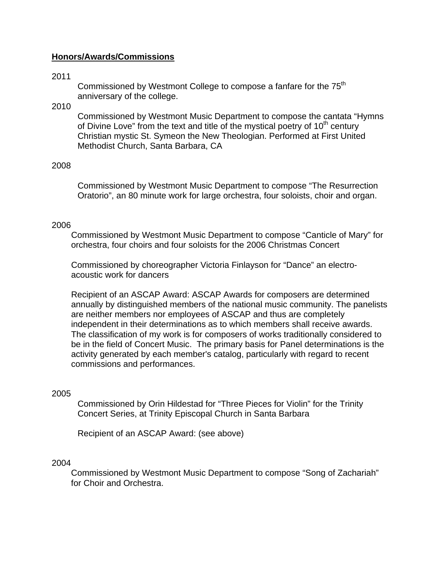# **Honors/Awards/Commissions**

### 2011

Commissioned by Westmont College to compose a fanfare for the 75<sup>th</sup> anniversary of the college.

# 2010

Commissioned by Westmont Music Department to compose the cantata "Hymns of Divine Love" from the text and title of the mystical poetry of  $10<sup>th</sup>$  century Christian mystic St. Symeon the New Theologian. Performed at First United Methodist Church, Santa Barbara, CA

#### 2008

Commissioned by Westmont Music Department to compose "The Resurrection Oratorio", an 80 minute work for large orchestra, four soloists, choir and organ.

#### 2006

Commissioned by Westmont Music Department to compose "Canticle of Mary" for orchestra, four choirs and four soloists for the 2006 Christmas Concert

Commissioned by choreographer Victoria Finlayson for "Dance" an electroacoustic work for dancers

Recipient of an ASCAP Award: ASCAP Awards for composers are determined annually by distinguished members of the national music community. The panelists are neither members nor employees of ASCAP and thus are completely independent in their determinations as to which members shall receive awards. The classification of my work is for composers of works traditionally considered to be in the field of Concert Music. The primary basis for Panel determinations is the activity generated by each member's catalog, particularly with regard to recent commissions and performances.

## 2005

Commissioned by Orin Hildestad for "Three Pieces for Violin" for the Trinity Concert Series, at Trinity Episcopal Church in Santa Barbara

Recipient of an ASCAP Award: (see above)

#### 2004

Commissioned by Westmont Music Department to compose "Song of Zachariah" for Choir and Orchestra.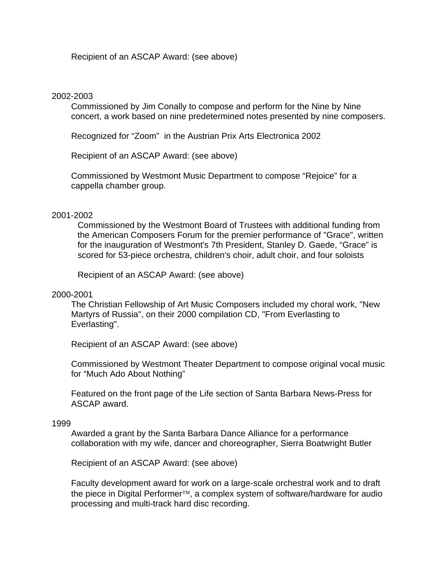Recipient of an ASCAP Award: (see above)

## 2002-2003

Commissioned by Jim Conally to compose and perform for the Nine by Nine concert, a work based on nine predetermined notes presented by nine composers.

Recognized for "Zoom" in the Austrian Prix Arts Electronica 2002

Recipient of an ASCAP Award: (see above)

Commissioned by Westmont Music Department to compose "Rejoice" for a cappella chamber group.

# 2001-2002

Commissioned by the Westmont Board of Trustees with additional funding from the American Composers Forum for the premier performance of "Grace", written for the inauguration of Westmont's 7th President, Stanley D. Gaede, "Grace" is scored for 53-piece orchestra, children's choir, adult choir, and four soloists

Recipient of an ASCAP Award: (see above)

## 2000-2001

The Christian Fellowship of Art Music Composers included my choral work, "New Martyrs of Russia", on their 2000 compilation CD, "From Everlasting to Everlasting".

Recipient of an ASCAP Award: (see above)

Commissioned by Westmont Theater Department to compose original vocal music for "Much Ado About Nothing"

Featured on the front page of the Life section of Santa Barbara News-Press for ASCAP award.

## 1999

Awarded a grant by the Santa Barbara Dance Alliance for a performance collaboration with my wife, dancer and choreographer, Sierra Boatwright Butler

Recipient of an ASCAP Award: (see above)

Faculty development award for work on a large-scale orchestral work and to draft the piece in Digital Performer<sup>TM</sup>, a complex system of software/hardware for audio processing and multi-track hard disc recording.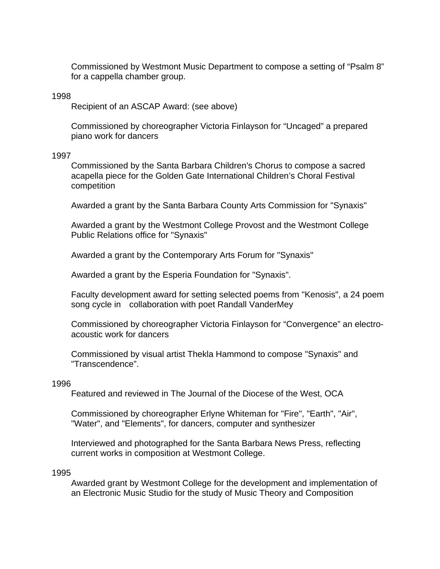Commissioned by Westmont Music Department to compose a setting of "Psalm 8" for a cappella chamber group.

## 1998

Recipient of an ASCAP Award: (see above)

Commissioned by choreographer Victoria Finlayson for "Uncaged" a prepared piano work for dancers

#### 1997

Commissioned by the Santa Barbara Children's Chorus to compose a sacred acapella piece for the Golden Gate International Children's Choral Festival competition

Awarded a grant by the Santa Barbara County Arts Commission for "Synaxis"

Awarded a grant by the Westmont College Provost and the Westmont College Public Relations office for "Synaxis"

Awarded a grant by the Contemporary Arts Forum for "Synaxis"

Awarded a grant by the Esperia Foundation for "Synaxis".

Faculty development award for setting selected poems from "Kenosis", a 24 poem song cycle in collaboration with poet Randall VanderMey

Commissioned by choreographer Victoria Finlayson for "Convergence" an electroacoustic work for dancers

Commissioned by visual artist Thekla Hammond to compose "Synaxis" and "Transcendence".

## 1996

Featured and reviewed in The Journal of the Diocese of the West, OCA

Commissioned by choreographer Erlyne Whiteman for "Fire", "Earth", "Air", "Water", and "Elements", for dancers, computer and synthesizer

Interviewed and photographed for the Santa Barbara News Press, reflecting current works in composition at Westmont College.

#### 1995

Awarded grant by Westmont College for the development and implementation of an Electronic Music Studio for the study of Music Theory and Composition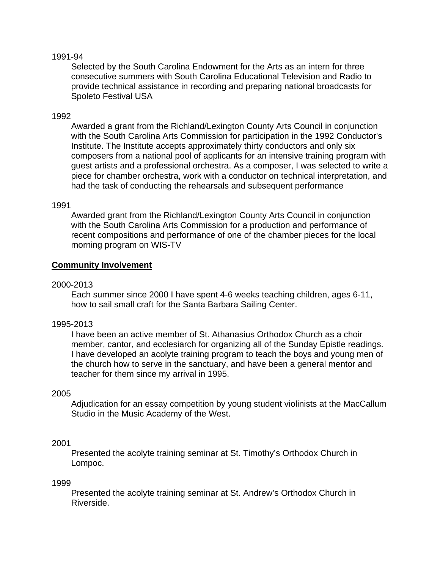# 1991-94

Selected by the South Carolina Endowment for the Arts as an intern for three consecutive summers with South Carolina Educational Television and Radio to provide technical assistance in recording and preparing national broadcasts for Spoleto Festival USA

# 1992

Awarded a grant from the Richland/Lexington County Arts Council in conjunction with the South Carolina Arts Commission for participation in the 1992 Conductor's Institute. The Institute accepts approximately thirty conductors and only six composers from a national pool of applicants for an intensive training program with guest artists and a professional orchestra. As a composer, I was selected to write a piece for chamber orchestra, work with a conductor on technical interpretation, and had the task of conducting the rehearsals and subsequent performance

## 1991

Awarded grant from the Richland/Lexington County Arts Council in conjunction with the South Carolina Arts Commission for a production and performance of recent compositions and performance of one of the chamber pieces for the local morning program on WIS-TV

# **Community Involvement**

## 2000-2013

Each summer since 2000 I have spent 4-6 weeks teaching children, ages 6-11, how to sail small craft for the Santa Barbara Sailing Center.

## 1995-2013

I have been an active member of St. Athanasius Orthodox Church as a choir member, cantor, and ecclesiarch for organizing all of the Sunday Epistle readings. I have developed an acolyte training program to teach the boys and young men of the church how to serve in the sanctuary, and have been a general mentor and teacher for them since my arrival in 1995.

## 2005

Adjudication for an essay competition by young student violinists at the MacCallum Studio in the Music Academy of the West.

## 2001

Presented the acolyte training seminar at St. Timothy's Orthodox Church in Lompoc.

#### 1999

Presented the acolyte training seminar at St. Andrew's Orthodox Church in Riverside.